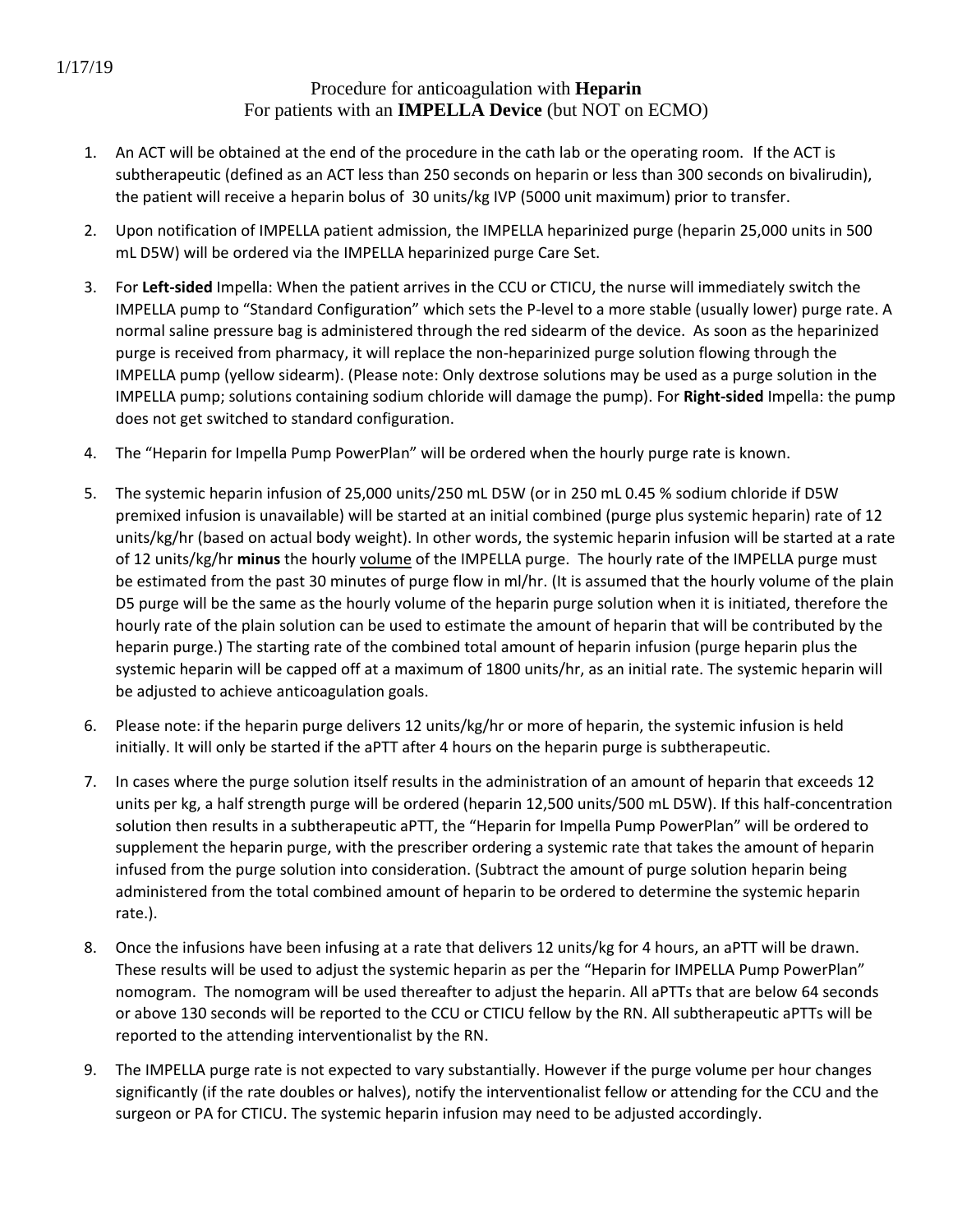## Procedure for anticoagulation with **Heparin** For patients with an **IMPELLA Device** (but NOT on ECMO)

- 1. An ACT will be obtained at the end of the procedure in the cath lab or the operating room. If the ACT is subtherapeutic (defined as an ACT less than 250 seconds on heparin or less than 300 seconds on bivalirudin), the patient will receive a heparin bolus of 30 units/kg IVP (5000 unit maximum) prior to transfer.
- 2. Upon notification of IMPELLA patient admission, the IMPELLA heparinized purge (heparin 25,000 units in 500 mL D5W) will be ordered via the IMPELLA heparinized purge Care Set.
- 3. For **Left-sided** Impella: When the patient arrives in the CCU or CTICU, the nurse will immediately switch the IMPELLA pump to "Standard Configuration" which sets the P-level to a more stable (usually lower) purge rate. A normal saline pressure bag is administered through the red sidearm of the device. As soon as the heparinized purge is received from pharmacy, it will replace the non-heparinized purge solution flowing through the IMPELLA pump (yellow sidearm). (Please note: Only dextrose solutions may be used as a purge solution in the IMPELLA pump; solutions containing sodium chloride will damage the pump). For **Right-sided** Impella: the pump does not get switched to standard configuration.
- 4. The "Heparin for Impella Pump PowerPlan" will be ordered when the hourly purge rate is known.
- 5. The systemic heparin infusion of 25,000 units/250 mL D5W (or in 250 mL 0.45 % sodium chloride if D5W premixed infusion is unavailable) will be started at an initial combined (purge plus systemic heparin) rate of 12 units/kg/hr (based on actual body weight). In other words, the systemic heparin infusion will be started at a rate of 12 units/kg/hr **minus** the hourly volume of the IMPELLA purge. The hourly rate of the IMPELLA purge must be estimated from the past 30 minutes of purge flow in ml/hr. (It is assumed that the hourly volume of the plain D5 purge will be the same as the hourly volume of the heparin purge solution when it is initiated, therefore the hourly rate of the plain solution can be used to estimate the amount of heparin that will be contributed by the heparin purge.) The starting rate of the combined total amount of heparin infusion (purge heparin plus the systemic heparin will be capped off at a maximum of 1800 units/hr, as an initial rate. The systemic heparin will be adjusted to achieve anticoagulation goals.
- 6. Please note: if the heparin purge delivers 12 units/kg/hr or more of heparin, the systemic infusion is held initially. It will only be started if the aPTT after 4 hours on the heparin purge is subtherapeutic.
- 7. In cases where the purge solution itself results in the administration of an amount of heparin that exceeds 12 units per kg, a half strength purge will be ordered (heparin 12,500 units/500 mL D5W). If this half-concentration solution then results in a subtherapeutic aPTT, the "Heparin for Impella Pump PowerPlan" will be ordered to supplement the heparin purge, with the prescriber ordering a systemic rate that takes the amount of heparin infused from the purge solution into consideration. (Subtract the amount of purge solution heparin being administered from the total combined amount of heparin to be ordered to determine the systemic heparin rate.).
- 8. Once the infusions have been infusing at a rate that delivers 12 units/kg for 4 hours, an aPTT will be drawn. These results will be used to adjust the systemic heparin as per the "Heparin for IMPELLA Pump PowerPlan" nomogram. The nomogram will be used thereafter to adjust the heparin. All aPTTs that are below 64 seconds or above 130 seconds will be reported to the CCU or CTICU fellow by the RN. All subtherapeutic aPTTs will be reported to the attending interventionalist by the RN.
- 9. The IMPELLA purge rate is not expected to vary substantially. However if the purge volume per hour changes significantly (if the rate doubles or halves), notify the interventionalist fellow or attending for the CCU and the surgeon or PA for CTICU. The systemic heparin infusion may need to be adjusted accordingly.